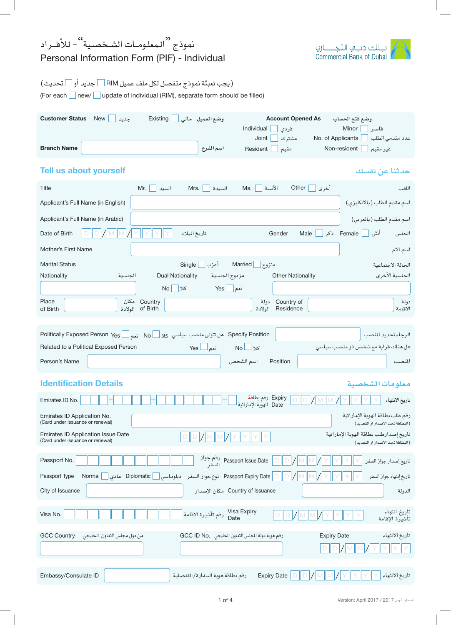## نموذج <sup>‹‹</sup> المعلـومــات الشــخصـية<sup>››</sup>– للأفــراد Personal Information Form (PIF) - Individual

| ت نلڪ دب عا الٽڪ         |  |
|--------------------------|--|
| Commercial Bank of Dubai |  |

## (يجب تعبئة نموذج منفصل لكل ملف عميل RIM ∑جديد أو ∑تحديث)

(For each new/ update of individual (RIM), separate form should be filled)

| <b>Customer Status</b><br><b>Account Opened As</b><br>New<br>Existing<br>وضع العميل حالى<br>جديد<br>وضع فتح الحساب<br>Individual<br>Minor  <br>فردى<br>قاصر                         |
|-------------------------------------------------------------------------------------------------------------------------------------------------------------------------------------|
| عدد مقدمى الطلب<br>No. of Applicants<br>Joint<br>مشترك<br><b>Branch Name</b><br>Non-resident<br>اسم الفرع<br>Resident<br>غير مقيم<br>مقيم                                           |
| <b>Tell us about yourself</b><br>حدثنا عن نفسك                                                                                                                                      |
| Other<br>Mr.<br>Mrs.<br>Ms.<br>الآنسة<br>أخرى<br>Title<br>السىدة<br>السيد<br>اللقب                                                                                                  |
| اسم مقدم الطلب (بالانكليزي)<br>Applicant's Full Name (in English)                                                                                                                   |
| اسم مقدم الطلب (بالعربي)<br>Applicant's Full Name (in Arabic)                                                                                                                       |
| Date of Birth<br>Female ذکر<br>Gender<br>Male<br>أنثى<br>تاريخ الميلاد<br>الجنس                                                                                                     |
| Mother's First Name<br>اسم الام                                                                                                                                                     |
| متزوج Married<br>أعزب Single<br><b>Marital Status</b><br>الحالة الاحتماعية                                                                                                          |
| الجنسية الأخرى<br><b>Dual Nationality</b><br>Nationality<br><b>Other Nationality</b><br>الجنسية<br>مزدوج الجنسية                                                                    |
| نعم    Yes<br>No<br>کلا∣                                                                                                                                                            |
| Place<br>Country مكان<br>Country of دولة<br>دولة<br>of Birth الولادة<br>Residence<br>الاقامة<br>of Birth<br>الولادة                                                                 |
|                                                                                                                                                                                     |
| Specify Position هل تتولى منصب سياسي كلا No منهم الـ No No Rolitically Exposed Person Yes<br>الرجاء تحديد المنصب                                                                    |
| Related to a Political Exposed Person<br>$Yes \Box$ نعم<br>هل هناك قرابة مع شخص ذو منصب سياسى<br>No∟ ע                                                                              |
| Person's Name<br>اسم الشخص<br>Position<br>المنصب                                                                                                                                    |
| <b>Identification Details</b><br>معلومات الشخصية                                                                                                                                    |
| Expiry رقم بطاقة<br>تاريخ الانتهاء<br>Emirates ID No.<br>$\mathbb{M}$<br>Date الهوية الإماراتية                                                                                     |
| رقم طلب بطاقة الهوية الإماراتية<br>Emirates ID Application No.<br>(Card under issuance or renewal)<br>(البطاقة تحت الاصدار او التحديد)                                              |
| Emirates ID Application Issue Date<br>تاريخ إصدارطلب بطاقة الهوية الإماراتية<br>D<br>$\mathbb{M}$<br>$\Box$<br>(Card under issuance or renewal)<br>(البطاقة تحت الاصدار او التجديد) |
| Passport No.<br>تاريخ إصدار جواز السفر                                                                                                                                              |
| Passport Expiry Date   نوع جواز السفر<br>Passport Type<br>Normal<br>Diplomatic<br>تاريخ إنتهاء جواز السفر<br>دبلوماس <i>ی</i> __                                                    |
| Country of Issuance مكان الإصدار<br>City of Issuance<br>الدولة                                                                                                                      |
| تاريخ انتهاء<br>Visa Expiry<br>Date دقم تأشيرة الاقامة<br>Visa No.<br>تأشيرة الإقامة                                                                                                |
| تاريخ الانتهاء<br>رقم هوية دولة المجلس التعاون الخليجي .GCC ID No<br><b>GCC Country</b><br>من دول مجلس التعاون الخليجي<br><b>Expiry Date</b>                                        |
| D                                                                                                                                                                                   |
| رقم بطاقة هوية السفارة/القنصلية<br>Expiry Date<br>تاريخ الانتهاء<br>Embassy/Consulate ID                                                                                            |
|                                                                                                                                                                                     |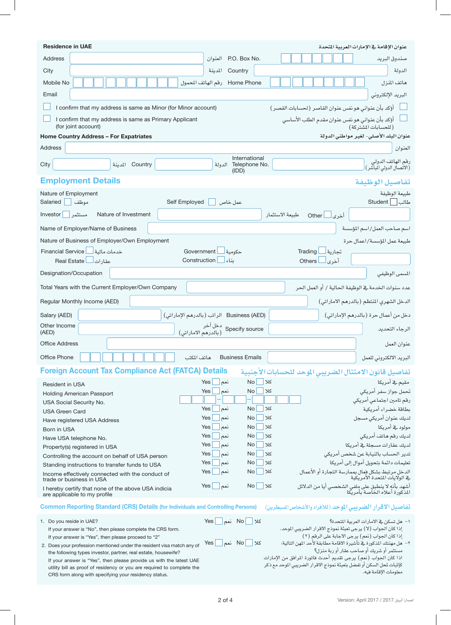| <b>Residence in UAE</b>                                                                                                               | عنوان الإقامة في الإمارات العربية المتحدة                                                                                                   |
|---------------------------------------------------------------------------------------------------------------------------------------|---------------------------------------------------------------------------------------------------------------------------------------------|
| <b>Address</b>                                                                                                                        | P.O. Box No.<br>العنوان<br>صندوق البريد                                                                                                     |
| City                                                                                                                                  | Country<br>المدينة<br>الدولة                                                                                                                |
| Mobile No                                                                                                                             | Home Phone   رقم الهاتف المحمول<br>هاتف المنزل                                                                                              |
| Email                                                                                                                                 | البريد الإلكتروني                                                                                                                           |
| I confirm that my address is same as Minor (for Minor account)                                                                        | أؤكد بأن عنواني هو نفس عنوان القاصر (لحسابات القصر)                                                                                         |
| I confirm that my address is same as Primary Applicant<br>(for joint account)                                                         | أؤكد بأن عنواني هو نفس عنوان مقدم الطلب الأساسي<br>(للحسابات المشتركة)                                                                      |
| <b>Home Country Address - For Expatriates</b>                                                                                         | عنوان البلد الأصلي- لغير مواطني الدولة                                                                                                      |
| Address                                                                                                                               | العنوان                                                                                                                                     |
| Country المدينة<br>City                                                                                                               | International<br>رقم الهاتف الدولي<br>(الاتصال الدولي الماشر)<br>الدولة Telephone No.<br>(IDD)                                              |
| <b>Employment Details</b>                                                                                                             | تفاصيل الوظيفة                                                                                                                              |
| Nature of Employment                                                                                                                  | طبيعة الوظيفة                                                                                                                               |
| Salaried<br>Self Employed<br>موظف                                                                                                     | طالب Student<br>عمل خاص                                                                                                                     |
| Investor<br>مستثمر  <br>Nature of Investment                                                                                          | طبيعة الاستثمار<br>أخرى لـــا Other                                                                                                         |
| Name of Employer/Name of Business                                                                                                     | اسم صاحب العمل/اسم المؤسسة                                                                                                                  |
| Nature of Business of Employer/Own Employment                                                                                         | طبيعة عمل المؤسسة/اعمال حرة                                                                                                                 |
| <b>Financial Service</b><br>Government<br>خدمات مالية <mark>ا</mark>                                                                  | Trading<br>حكومية<br>تجارية                                                                                                                 |
| Construction<br>عقارات   Real Estate                                                                                                  | ىناء<br>أخرى<br><b>Others</b>                                                                                                               |
| Designation/Occupation                                                                                                                | المسمى الوظيفي                                                                                                                              |
| Total Years with the Current Employer/Own Company                                                                                     | عدد سنوات الخدمة في الوظيفة الحالية / أو العمل الحر                                                                                         |
| Regular Monthly Income (AED)                                                                                                          | الدخل الشهري المنتظم (بالدرهم الاماراتي)                                                                                                    |
| Salary (AED)                                                                                                                          | Business (AED) الراتب (بالدرهم الإماراتي)<br>دخل من أعمال حرة (بالدرهم الإماراتي)                                                           |
| Other Income<br>(AED)                                                                                                                 | دخل آخر<br>Specify source   (بالدرهم الاماراتي)<br>الرجاء التحديد                                                                           |
| <b>Office Address</b>                                                                                                                 | عنوان العمل                                                                                                                                 |
| Office Phone<br>هاتف المكتب                                                                                                           | <b>Business Emails</b><br>البريد الالكتروني للعمل                                                                                           |
| <b>Foreign Account Tax Compliance Act (FATCA) Details</b>                                                                             | تفاصيل قانون الامتثال الضريبى الموحد للحسابات الأجنبية                                                                                      |
| <b>Resident in USA</b>                                                                                                                | No<br>Yes<br>کلا<br>مقيم في أمريكا<br>نعم                                                                                                   |
| <b>Holding American Passport</b>                                                                                                      | <b>No</b><br>تحمل جواز سفر أمريكي<br>Yes<br>نعم<br>کلا                                                                                      |
| USA Social Security No.                                                                                                               | رقم تامين اجتماعي أمريكي                                                                                                                    |
| <b>USA Green Card</b>                                                                                                                 | No<br>کلا<br>بطاقة خضراء أمريكية<br>Yes<br>نعم<br>Yes<br>No<br>کلا                                                                          |
| Have registered USA Address                                                                                                           | لديك عنوان أمريكي مسجل<br>نعم<br>No<br>مولود گے أمريكا<br>Yes<br>کلا<br>نعم                                                                 |
| Born in USA                                                                                                                           | لديك رقم هاتف أمريكى<br>No<br>Yes<br>نعم<br>کلا                                                                                             |
| Have USA telephone No.<br>Property(s) registered in USA                                                                               | لديك عقارات مسجلة في أمر يكا<br>No<br>Yes<br>نعم<br>کلا                                                                                     |
| Controlling the account on behalf of USA person                                                                                       | No<br>تدير الحساب بالنيابة عن شخص أمريكي<br>کلا<br>Yes<br>نعم                                                                               |
| Standing instructions to transfer funds to USA                                                                                        | تعليمات دائمة بتحويل أموال إلى أمريكا<br>No<br>Yes<br>نعم<br>کلا                                                                            |
| Income effectively connected with the conduct of                                                                                      | Yes<br>نعم<br>No<br>کلا<br>الدخل مرتبط بشكل فعال بممارسة التجارة أو الأعمال<br>في الولايات المحدة الأمريكية                                 |
| trade or business in USA<br>I hereby certify that none of the above USA indicia<br>are applicable to my profile                       | نعم    Yes<br>No<br>کلا<br>أشهد بأنه لا ينطبق على ملفي الشخصي أيا من الدلائل<br>المذكورة أعلاه الخاصة بأمريكا                               |
| <b>Common Reporting Standard (CRS) Details (for Individuals and Controlling Persons)</b>                                              | تفاصيل الاقرار الضريبي الموحد (للأفراد والأشخاص السيطرين)                                                                                   |
| 1. Do you reside in UAE?                                                                                                              | $\Box$ کلا No<br>١– هل تسكن في الامارات العربية المتحدة؟<br>Yes                                                                             |
| If your answer is "No", then please complete the CRS form.                                                                            | إذا كان الجواب (لا) يرجى تعبئة نموذج الاقرار الضريبي الموحد.                                                                                |
| If your answer is "Yes", then please proceed to "2"                                                                                   | إذا كان الجواب (نعم) يرجى الاجابة على الرقم (٢)                                                                                             |
| 2. Does your profession mentioned under the resident visa match any of                                                                | Yes $\Box$ نعم No<br>کلا ا<br>٢– هل مهنتك المذكورة في تأشيرة الاقامة مطابقة لأحد المهن التالية:<br>مستثمر أو شريك أو صاحب عقار أو ربة منزل؟ |
| the following types investor, partner, real estate, housewife?<br>If your answer is "Yes", then please provide us with the latest UAE | اذا كان الجواب (نعم) يرجى تقديم أحدث فاتورة المرافق من الإمارات                                                                             |
| utility bill as proof of residency or you are required to complete the                                                                | كإثبات لحل السكن أو تفضل بتعبئة نموذج الاقرار الضريبي الموحد مع ذكر                                                                         |
| CRS form along with specifying your residency status.                                                                                 | معلومات الإقامة فيه.                                                                                                                        |

 $\begin{array}{c} \hline \end{array}$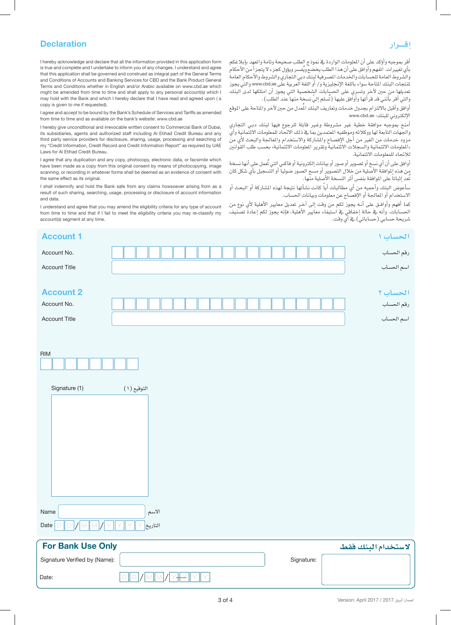## **Declaration**

## **إقـــرار**

www.cbd.ae :للبنك الإلكرتوين

لالحتاد للمعلومات االئتمانية.

ر<br>تُعد إثباتاً على الموافقة بنفس أثر النسخة الأُصلية منها.

شريحة حسابي (حساباتي) في أي وقت.

الاستخدام أو المعالجة أو الإفصاح عن معلومات وبيانات الحساب.

أقر بموجبه وأؤكد على أن الملومات الواردة في نموذج الطلب صحيحة وتامة واتعهد بإبلاغكم<br>بأي تفييرات. اتفهم وأوافق على أن هذا الطلب يخضع ويُفسر ويؤول كجزء لا يتجزأ من الأحكام والشروط العامة للحسابات والخدمات المصرفية لبنك دبي التجاري والشروط والأحكام العامة لمنتجات البنك المتاحة سواء باللغة الإنجليزية و/ أو اللغة العربية على www.cbd.ae والتي يجوز تعديلها من حين لآخر وتسري على الحسابات الشخصية التي يجوز أن امتلكها لدى البنك

وافق وأقبل بالالتزام بجدول خدمات وتعاريف البنك المُعدل من حين لآخر والمتاحة على الموقع

أمنح بموجبه موافقة خطية غير مشروطة وغير قابلة للرجوع فيها لبنك دبي التجاري والجهات التابعة لها ووكلائه وموظفيه المتمدين بما يخ ذلك الاتحاد للمعلومات الائتمانية وأي مزود خدمات من الغير من أجل الإفصاح والشاركة والاستخدام والمالجة والبحث لأي من «العلومات الائتمانية والسجلات الائتمانية وتقرير الملومات الائتمانية» بحسب طلب القوانين

أوافق على أن أي نسخ أو تصوير أو صور أو بيانات إلكترونية أو فاكس التي تَعمل على أنها نسخة س هذه الموافقة الأصلية من خلال التصوير أو مسح الصور صوئياً أو التسجيل بأي شكل كان

سأعوض البِنك وأحميه من أي مطالبات أياً كانت نشأتها نتيجة لهذه الشاركة أو البحث أو

كما أفهم وأوافق على أنه يجوز لكم من وقت إىل آخر تعديل معايري الأهلية لأي نوع من الحسابات. وأنه يف حالة إخفاقي ي استيفاء معايير الأهلية، فإنه يجوز لكم إعادةً تصنيف

والتي أقر بآنني قد قرأتها وأواّفق عليها (تُسلم إليّ نسخة منها عند الطلب).

I hereby acknowledge and declare that all the information provided in this application form is true and complete and I undertake to inform you of any changes. I understand and agree that this application shall be governed and construed as integral part of the General Terms and Conditions of Accounts and Banking Services for CBD and the Bank Product General Terms and Conditions whether in English and/or Arabic available on www.cbd.ae which might be amended from time to time and shall apply to any personal account(s) which I may hold with the Bank and which I hereby declare that I have read and agreed upon ( a copy is given to me if requested).

I agree and accept to be bound by the Bank's Schedule of Services and Tariffs as amended from time to time and as available on the bank's website: www.cbd.ae

I hereby give unconditional and irrevocable written consent to Commercial Bank of Dubai, its subsidiaries, agents and authorized staff including Al Etihad Credit Bureau and any third party service providers for disclosure, sharing, usage, processing and searching of my "Credit Information, Credit Record and Credit Information Report" as required by UAE Laws for Al Etihad Credit Bureau.

I agree that any duplication and any copy, photocopy, electronic data, or facsimile which have been made as a copy from this original consent by means of photocopying, image scanning, or recording in whatever forms shall be deemed as an evidence of consent with the same effect as its original.

I shall indemnify and hold the Bank safe from any claims howsoever arising from as a result of such sharing, searching, usage, processing or disclosure of account information and data.

I understand and agree that you may amend the eligibility criteria for any type of account from time to time and that if I fail to meet the eligibility criteria you may re-classify my account(s) segment at any time.

RIM اال�سم Name  $\mathsf{Date} \, \|\, \mathsf{D} \, \| \, \mathsf{D} \, \| \, / \, \| \, \mathsf{M} \, \| \, \mathsf{M} \, \| \, \mathsf{Y} \, \| \, \mathsf{Y} \, \| \, \mathsf{Y} \, \| \, \mathsf{Y} \, \|$ التاريخ Signature Verified by (Name): Date: Signature: D || D |*|* || M || M |*|* || Y <del>|| Y</del> || Y || Y **ال�ستخدام البنك فقط Only Use Bank For احل�ساب 1 1 Account** رقم احل�ساب .No Account ا�سم احل�ساب Title Account **احل�ساب 2 2 Account** رقم احل�ساب .No Account ا�سم احل�ساب Title Account التوقيع )1( (1) Signature